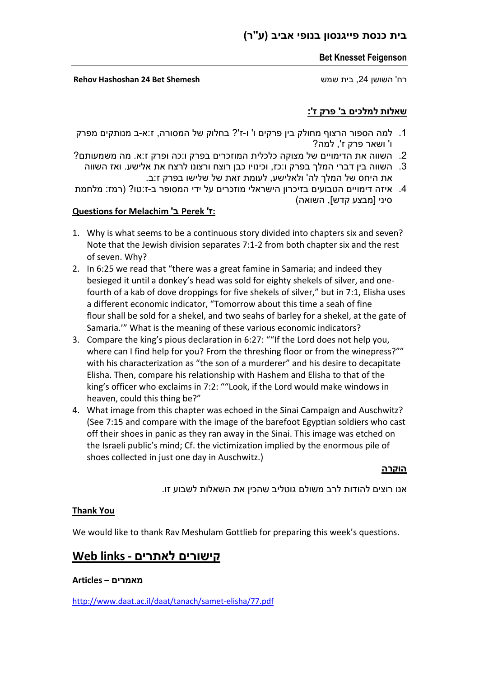## **בית כנסת פייגנסון בנופי אביב (ע"ר)**

#### **Bet Knesset Feigenson**

רח' השושן ,24 בית שמש **Shemesh Bet 24 Hashoshan Rehov**

### **שאלות למלכים ב' פרק ז':**

- .1 למה הספור הרצוף מחולק בין פרקים ו' ו-ז'? בחלוק של המסורה, ז:א-ב מנותקים מפרק ו' ושאר פרק ז', למה?
- .2 השווה את הדימויים של מצוקה כלכלית המוזכרים בפרק ו:כה ופרק ז:א. מה משמעותם?
- .3 השווה בין דברי המלך בפרק ו:כז, וכינויו כבן רוצח ורצונו לרצח את אלישע. ואז השווה את היחס של המלך לה' ולאלישע, לעומת זאת של שלישו בפרק ז:ב.
- .4 איזה דימויים הטבועים בזיכרון הישראלי מוזכרים על ידי המסופר ב-ז:טו? (רמז: מלחמת סיני [מבצע קדש], השואה)

### **Questions for Melachim 'ב Perek 'ז:**

- 1. Why is what seems to be a continuous story divided into chapters six and seven? Note that the Jewish division separates 7:1-2 from both chapter six and the rest of seven. Why?
- 2. In 6:25 we read that "there was a great famine in Samaria; and indeed they besieged it until a donkey's head was sold for eighty shekels of silver, and onefourth of a kab of dove droppings for five shekels of silver," but in 7:1, Elisha uses a different economic indicator, "Tomorrow about this time a seah of fine flour shall be sold for a shekel, and two seahs of barley for a shekel, at the gate of Samaria.'" What is the meaning of these various economic indicators?
- 3. Compare the king's pious declaration in 6:27: ""If the Lord does not help you, where can I find help for you? From the threshing floor or from the winepress?"" with his characterization as "the son of a murderer" and his desire to decapitate Elisha. Then, compare his relationship with Hashem and Elisha to that of the king's officer who exclaims in 7:2: ""Look, if the Lord would make windows in heaven, could this thing be?"
- 4. What image from this chapter was echoed in the Sinai Campaign and Auschwitz? (See 7:15 and compare with the image of the barefoot Egyptian soldiers who cast off their shoes in panic as they ran away in the Sinai. This image was etched on the Israeli public's mind; Cf. the victimization implied by the enormous pile of shoes collected in just one day in Auschwitz.)

**הוקרה**

אנו רוצים להודות לרב משולם גוטליב שהכין את השאלות לשבוע זו.

#### **Thank You**

We would like to thank Rav Meshulam Gottlieb for preparing this week's questions.

# **קישורים לאתרים - links Web**

#### **מאמרים – Articles**

<http://www.daat.ac.il/daat/tanach/samet-elisha/77.pdf>